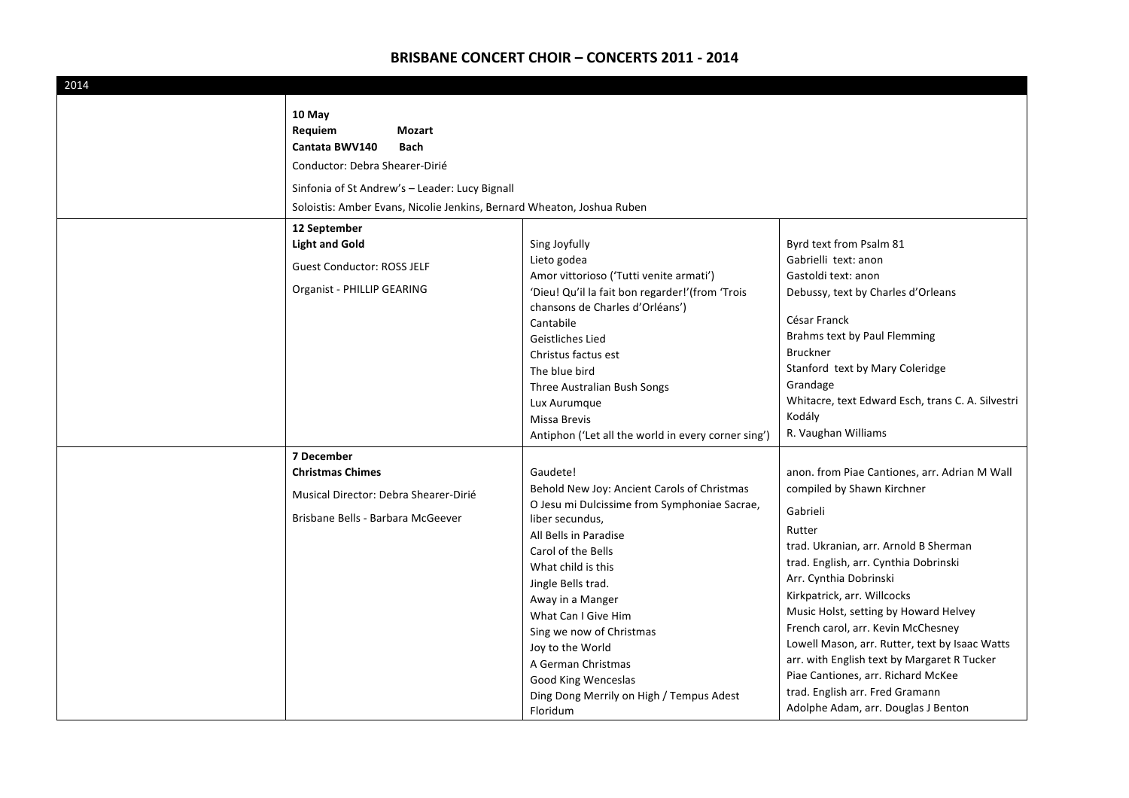| 2014 |                                                                                                                                                                                                                            |                                                                                                                                                                                                                                                                                                                                                                                                                       |                                                                                                                                                                                                                                                                                                                                                                                                                                                                                                                                              |
|------|----------------------------------------------------------------------------------------------------------------------------------------------------------------------------------------------------------------------------|-----------------------------------------------------------------------------------------------------------------------------------------------------------------------------------------------------------------------------------------------------------------------------------------------------------------------------------------------------------------------------------------------------------------------|----------------------------------------------------------------------------------------------------------------------------------------------------------------------------------------------------------------------------------------------------------------------------------------------------------------------------------------------------------------------------------------------------------------------------------------------------------------------------------------------------------------------------------------------|
|      | 10 May<br>Requiem<br>Mozart<br>Cantata BWV140<br><b>Bach</b><br>Conductor: Debra Shearer-Dirié<br>Sinfonia of St Andrew's - Leader: Lucy Bignall<br>Soloistis: Amber Evans, Nicolie Jenkins, Bernard Wheaton, Joshua Ruben |                                                                                                                                                                                                                                                                                                                                                                                                                       |                                                                                                                                                                                                                                                                                                                                                                                                                                                                                                                                              |
|      | 12 September<br><b>Light and Gold</b><br><b>Guest Conductor: ROSS JELF</b><br>Organist - PHILLIP GEARING                                                                                                                   | Sing Joyfully<br>Lieto godea<br>Amor vittorioso ('Tutti venite armati')<br>'Dieu! Qu'il la fait bon regarder!'(from 'Trois<br>chansons de Charles d'Orléans')<br>Cantabile<br>Geistliches Lied<br>Christus factus est<br>The blue bird<br>Three Australian Bush Songs<br>Lux Aurumque<br>Missa Brevis<br>Antiphon ('Let all the world in every corner sing')                                                          | Byrd text from Psalm 81<br>Gabrielli text: anon<br>Gastoldi text: anon<br>Debussy, text by Charles d'Orleans<br>César Franck<br>Brahms text by Paul Flemming<br><b>Bruckner</b><br>Stanford text by Mary Coleridge<br>Grandage<br>Whitacre, text Edward Esch, trans C. A. Silvestri<br>Kodály<br>R. Vaughan Williams                                                                                                                                                                                                                         |
|      | 7 December<br><b>Christmas Chimes</b><br>Musical Director: Debra Shearer-Dirié<br>Brisbane Bells - Barbara McGeever                                                                                                        | Gaudete!<br>Behold New Joy: Ancient Carols of Christmas<br>O Jesu mi Dulcissime from Symphoniae Sacrae,<br>liber secundus,<br>All Bells in Paradise<br>Carol of the Bells<br>What child is this<br>Jingle Bells trad.<br>Away in a Manger<br>What Can I Give Him<br>Sing we now of Christmas<br>Joy to the World<br>A German Christmas<br>Good King Wenceslas<br>Ding Dong Merrily on High / Tempus Adest<br>Floridum | anon. from Piae Cantiones, arr. Adrian M Wall<br>compiled by Shawn Kirchner<br>Gabrieli<br>Rutter<br>trad. Ukranian, arr. Arnold B Sherman<br>trad. English, arr. Cynthia Dobrinski<br>Arr. Cynthia Dobrinski<br>Kirkpatrick, arr. Willcocks<br>Music Holst, setting by Howard Helvey<br>French carol, arr. Kevin McChesney<br>Lowell Mason, arr. Rutter, text by Isaac Watts<br>arr. with English text by Margaret R Tucker<br>Piae Cantiones, arr. Richard McKee<br>trad. English arr. Fred Gramann<br>Adolphe Adam, arr. Douglas J Benton |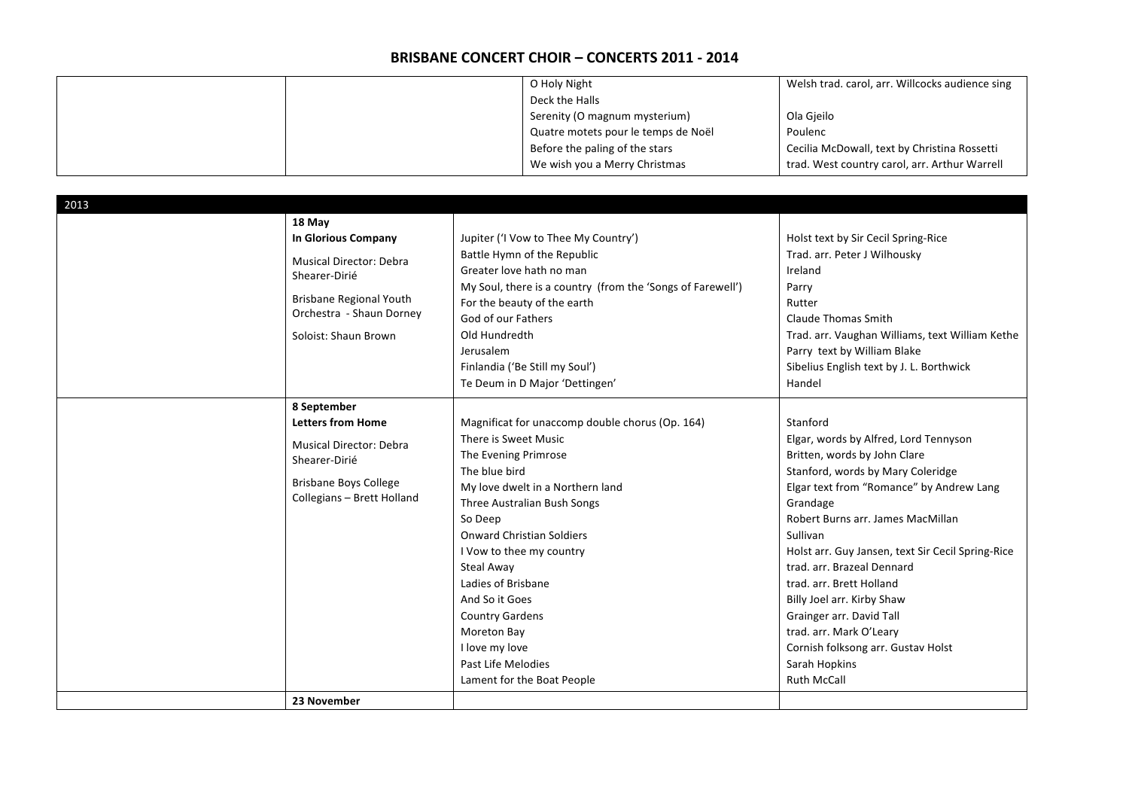|  | O Holy Night                        | Welsh trad. carol, arr. Willcocks audience sing |
|--|-------------------------------------|-------------------------------------------------|
|  | Deck the Halls                      |                                                 |
|  | Serenity (O magnum mysterium)       | Ola Gieilo                                      |
|  | Quatre motets pour le temps de Noël | Poulenc                                         |
|  | Before the paling of the stars      | Cecilia McDowall, text by Christina Rossetti    |
|  | We wish you a Merry Christmas       | trad. West country carol, arr. Arthur Warrell   |

| 2013 |                                                                                                                                                                        |                                                                                                                                                                                                                                                                                                                                                                                                                                     |                                                                                                                                                                                                                                                                                                                                                                                                                                                                                                                  |
|------|------------------------------------------------------------------------------------------------------------------------------------------------------------------------|-------------------------------------------------------------------------------------------------------------------------------------------------------------------------------------------------------------------------------------------------------------------------------------------------------------------------------------------------------------------------------------------------------------------------------------|------------------------------------------------------------------------------------------------------------------------------------------------------------------------------------------------------------------------------------------------------------------------------------------------------------------------------------------------------------------------------------------------------------------------------------------------------------------------------------------------------------------|
|      | 18 May<br><b>In Glorious Company</b><br>Musical Director: Debra<br>Shearer-Dirié<br><b>Brisbane Regional Youth</b><br>Orchestra - Shaun Dorney<br>Soloist: Shaun Brown | Jupiter ('I Vow to Thee My Country')<br>Battle Hymn of the Republic<br>Greater love hath no man<br>My Soul, there is a country (from the 'Songs of Farewell')<br>For the beauty of the earth<br>God of our Fathers<br>Old Hundredth<br>Jerusalem<br>Finlandia ('Be Still my Soul')<br>Te Deum in D Major 'Dettingen'                                                                                                                | Holst text by Sir Cecil Spring-Rice<br>Trad. arr. Peter J Wilhousky<br>Ireland<br>Parry<br>Rutter<br>Claude Thomas Smith<br>Trad. arr. Vaughan Williams, text William Kethe<br>Parry text by William Blake<br>Sibelius English text by J. L. Borthwick<br>Handel                                                                                                                                                                                                                                                 |
|      | 8 September<br><b>Letters from Home</b><br><b>Musical Director: Debra</b><br>Shearer-Dirié<br><b>Brisbane Boys College</b><br>Collegians - Brett Holland               | Magnificat for unaccomp double chorus (Op. 164)<br>There is Sweet Music<br>The Evening Primrose<br>The blue bird<br>My love dwelt in a Northern land<br>Three Australian Bush Songs<br>So Deep<br><b>Onward Christian Soldiers</b><br>I Vow to thee my country<br>Steal Away<br>Ladies of Brisbane<br>And So it Goes<br><b>Country Gardens</b><br>Moreton Bay<br>I love my love<br>Past Life Melodies<br>Lament for the Boat People | Stanford<br>Elgar, words by Alfred, Lord Tennyson<br>Britten, words by John Clare<br>Stanford, words by Mary Coleridge<br>Elgar text from "Romance" by Andrew Lang<br>Grandage<br>Robert Burns arr. James MacMillan<br>Sullivan<br>Holst arr. Guy Jansen, text Sir Cecil Spring-Rice<br>trad. arr. Brazeal Dennard<br>trad. arr. Brett Holland<br>Billy Joel arr. Kirby Shaw<br>Grainger arr. David Tall<br>trad. arr. Mark O'Leary<br>Cornish folksong arr. Gustav Holst<br>Sarah Hopkins<br><b>Ruth McCall</b> |
|      | 23 November                                                                                                                                                            |                                                                                                                                                                                                                                                                                                                                                                                                                                     |                                                                                                                                                                                                                                                                                                                                                                                                                                                                                                                  |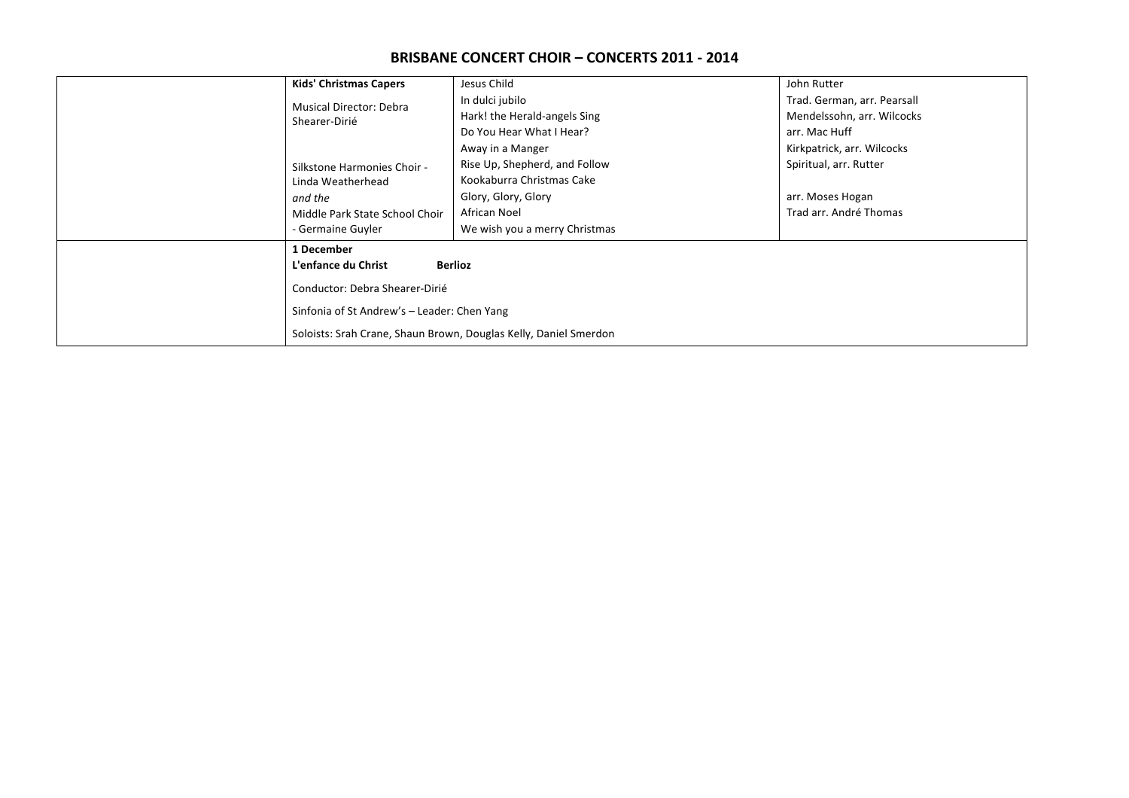|                                                 | <b>Kids' Christmas Capers</b>                                                                                                                                                              | Jesus Child                   | John Rutter                 |  |
|-------------------------------------------------|--------------------------------------------------------------------------------------------------------------------------------------------------------------------------------------------|-------------------------------|-----------------------------|--|
| <b>Musical Director: Debra</b><br>Shearer-Dirié |                                                                                                                                                                                            | In dulci jubilo               | Trad. German, arr. Pearsall |  |
|                                                 |                                                                                                                                                                                            | Hark! the Herald-angels Sing  | Mendelssohn, arr. Wilcocks  |  |
|                                                 |                                                                                                                                                                                            | Do You Hear What I Hear?      | arr. Mac Huff               |  |
|                                                 |                                                                                                                                                                                            | Away in a Manger              | Kirkpatrick, arr. Wilcocks  |  |
|                                                 | Silkstone Harmonies Choir -                                                                                                                                                                | Rise Up, Shepherd, and Follow | Spiritual, arr. Rutter      |  |
|                                                 | Linda Weatherhead                                                                                                                                                                          | Kookaburra Christmas Cake     |                             |  |
|                                                 | and the                                                                                                                                                                                    | Glory, Glory, Glory           | arr. Moses Hogan            |  |
|                                                 | Middle Park State School Choir                                                                                                                                                             | African Noel                  | Trad arr. André Thomas      |  |
|                                                 | - Germaine Guyler                                                                                                                                                                          | We wish you a merry Christmas |                             |  |
|                                                 | 1 December                                                                                                                                                                                 |                               |                             |  |
|                                                 | <b>Berlioz</b><br>L'enfance du Christ<br>Conductor: Debra Shearer-Dirié<br>Sinfonia of St Andrew's - Leader: Chen Yang<br>Soloists: Srah Crane, Shaun Brown, Douglas Kelly, Daniel Smerdon |                               |                             |  |
|                                                 |                                                                                                                                                                                            |                               |                             |  |
|                                                 |                                                                                                                                                                                            |                               |                             |  |
|                                                 |                                                                                                                                                                                            |                               |                             |  |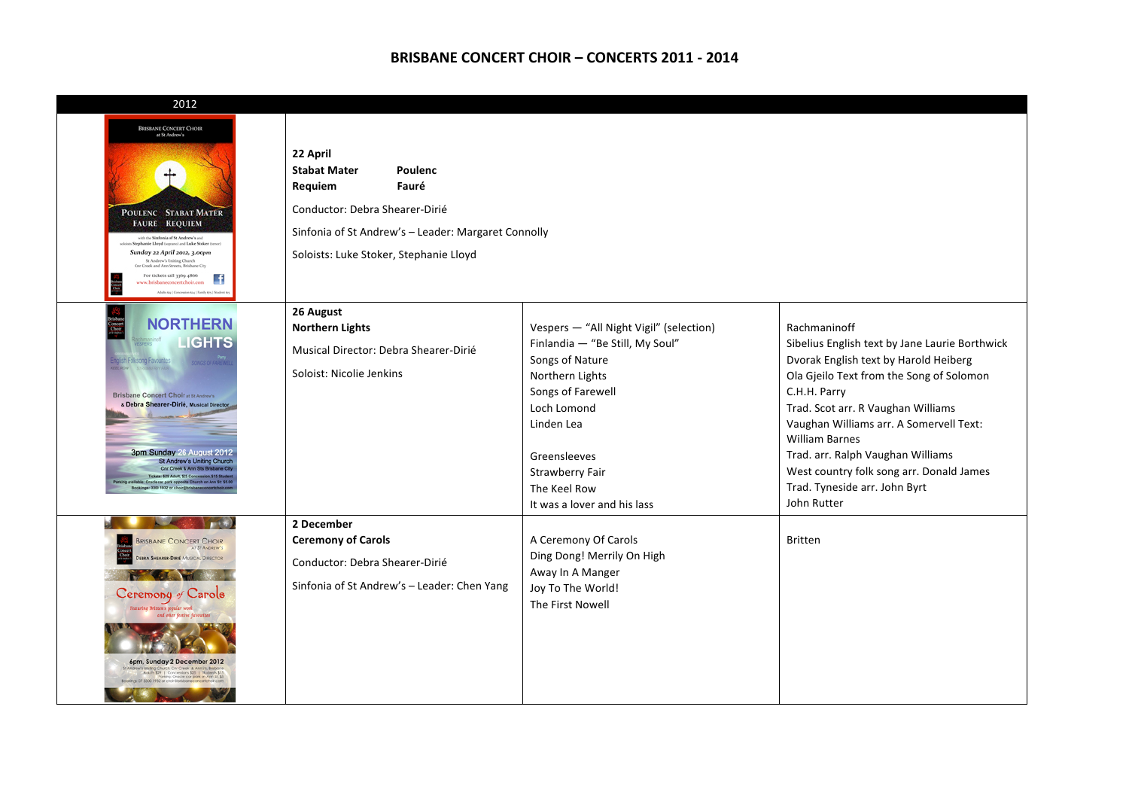| 2012                                                                                                                                                                                                                                                                                                                                                                                                                        |                                                                                                                                                                                                   |                                                                                                                                                                                                                                                             |                                                                                                                                                                                                                                                                                                                                                                                                                |
|-----------------------------------------------------------------------------------------------------------------------------------------------------------------------------------------------------------------------------------------------------------------------------------------------------------------------------------------------------------------------------------------------------------------------------|---------------------------------------------------------------------------------------------------------------------------------------------------------------------------------------------------|-------------------------------------------------------------------------------------------------------------------------------------------------------------------------------------------------------------------------------------------------------------|----------------------------------------------------------------------------------------------------------------------------------------------------------------------------------------------------------------------------------------------------------------------------------------------------------------------------------------------------------------------------------------------------------------|
| <b>BRISBANE CONCERT CHOIR</b><br>at St Andrew's<br>┿<br>POULENC STABAT MATER<br><b>FAURÉ REQUIEM</b><br>with the Simfonia of St Andrew's and<br>oloists Stephanie Lloyd (seprano) and Luke Stoker (<br>Sunday 22 April 2012, 3.00pm<br>St Andrew's Uniting Church<br>Crar Creek and Ann Streets, Brisbane City<br>For tickets call 3369 4866<br>www.brisbaneconcertchoir.com                                                | 22 April<br><b>Stabat Mater</b><br>Poulenc<br>Requiem<br>Fauré<br>Conductor: Debra Shearer-Dirié<br>Sinfonia of St Andrew's - Leader: Margaret Connolly<br>Soloists: Luke Stoker, Stephanie Lloyd |                                                                                                                                                                                                                                                             |                                                                                                                                                                                                                                                                                                                                                                                                                |
| <b>NORTHERN</b><br><b>LIGHTS</b><br>sh Folksong Favourile<br><b>Brisbane Concert Choir at St Andrew's</b><br>& Debra Shearer-Dirié, Musical Director<br>3pm Sunday 26 August 2012<br>St Andrew's Uniting Church<br>Cnr Creek & Ann Sts Brisbane City<br>Tickets: \$29 Adult, \$25 Concession, \$15 Stud<br>vallable: Oracle car park opposite Church on Ann St: \$5.00<br>Bookings: 3300 1932 or choir@brisbaneconcertchoir | 26 August<br><b>Northern Lights</b><br>Musical Director: Debra Shearer-Dirié<br>Soloist: Nicolie Jenkins                                                                                          | Vespers - "All Night Vigil" (selection)<br>Finlandia - "Be Still, My Soul"<br>Songs of Nature<br>Northern Lights<br>Songs of Farewell<br>Loch Lomond<br>Linden Lea<br>Greensleeves<br><b>Strawberry Fair</b><br>The Keel Row<br>It was a lover and his lass | Rachmaninoff<br>Sibelius English text by Jane Laurie Borthwick<br>Dvorak English text by Harold Heiberg<br>Ola Gjeilo Text from the Song of Solomon<br>C.H.H. Parry<br>Trad. Scot arr. R Vaughan Williams<br>Vaughan Williams arr. A Somervell Text:<br><b>William Barnes</b><br>Trad. arr. Ralph Vaughan Williams<br>West country folk song arr. Donald James<br>Trad. Tyneside arr. John Byrt<br>John Rutter |
| <b>BRISBANE CONCERT CHOIR</b><br>AT ST ANDREW'S<br><b>JEBRA SHEARER-DIRIÉ MUSICAL DIRECTOR</b><br>Ceremony of Carols<br>itten's popular work.<br>6pm, Sunday 2 December 2012<br>ws unding Church, Cnr Creek, & Ann St, Bridgene<br>- Ara.Il's \$29   Concessions \$25   Shabesh \$15<br>- Paking: Oracle car park on Ann \$1,\$5<br>Bookings: 07 3300 1932 or choir Stakbaneconcertation care                               | 2 December<br><b>Ceremony of Carols</b><br>Conductor: Debra Shearer-Dirié<br>Sinfonia of St Andrew's - Leader: Chen Yang                                                                          | A Ceremony Of Carols<br>Ding Dong! Merrily On High<br>Away In A Manger<br>Joy To The World!<br>The First Nowell                                                                                                                                             | <b>Britten</b>                                                                                                                                                                                                                                                                                                                                                                                                 |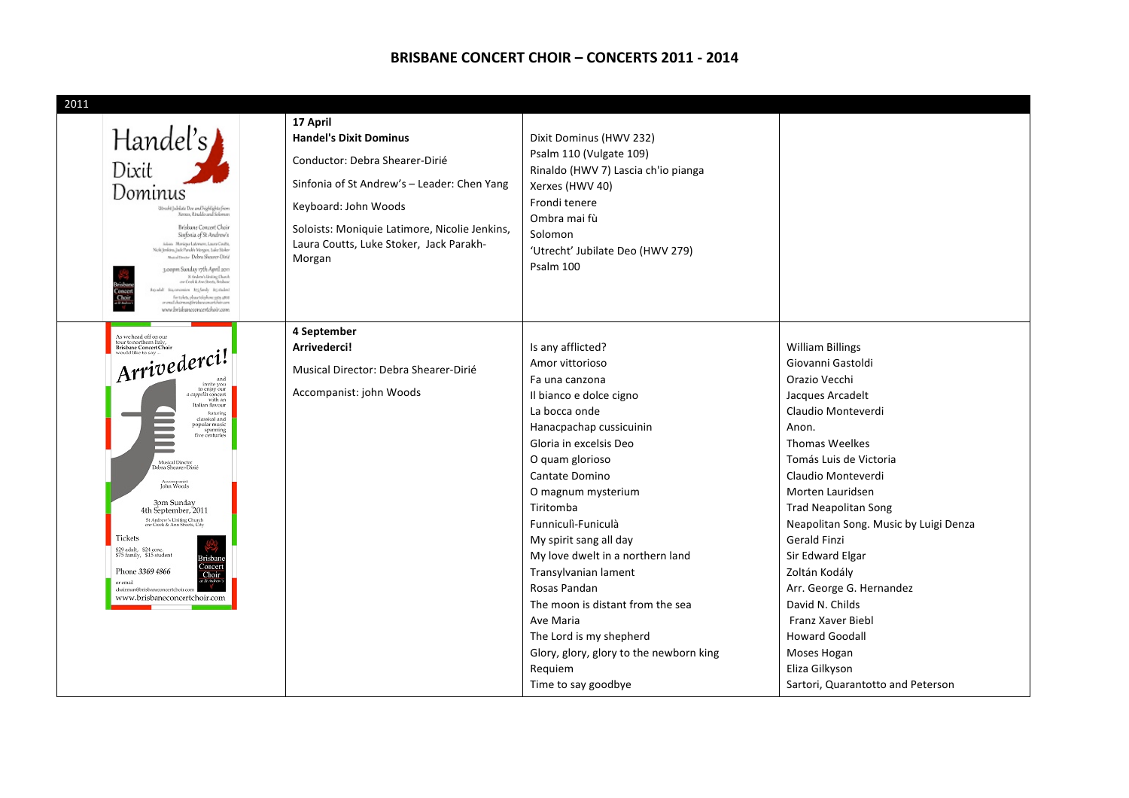#### **BRISBANE CONCERT CHOIR – CONCERTS 2011 - 2014**